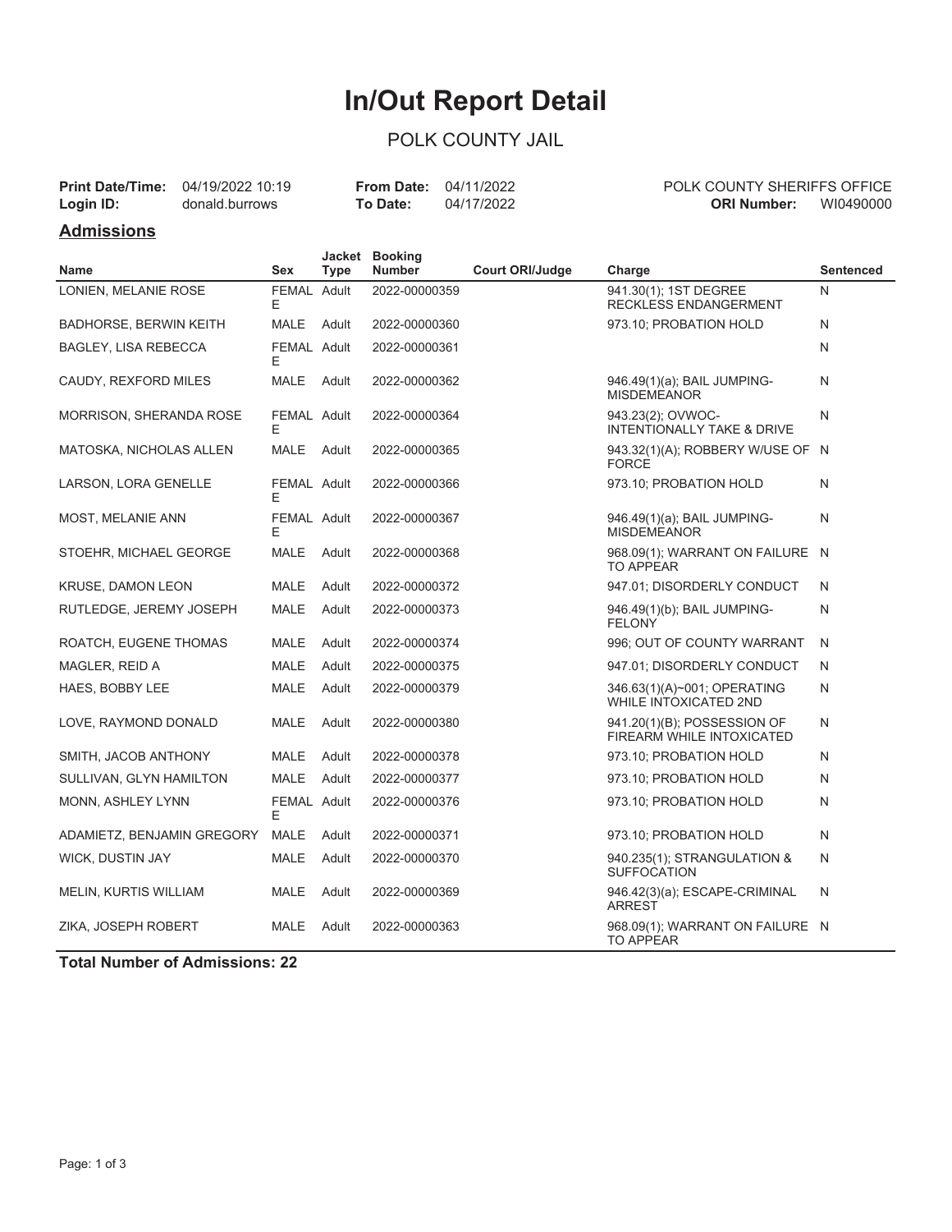# **In/Out Report Detail**

### POLK COUNTY JAIL

|           | <b>Print Date/Time:</b> 04/19/2022 10:19 | <b>From Date: 04/11/2022</b> |            | POLK COUNTY SHERIFFS OFFICE |  |
|-----------|------------------------------------------|------------------------------|------------|-----------------------------|--|
| Login ID: | donald.burrows                           | To Date:                     | 04/17/2022 | WI0490000<br>ORI Number:    |  |

#### **Admissions**

| <b>Name</b>                   | Sex              | <b>Type</b> | Jacket Booking<br><b>Number</b> | <b>Court ORI/Judge</b> | Charge                                                      | <b>Sentenced</b> |
|-------------------------------|------------------|-------------|---------------------------------|------------------------|-------------------------------------------------------------|------------------|
| LONIEN, MELANIE ROSE          | FEMAL Adult      |             | 2022-00000359                   |                        | 941.30(1); 1ST DEGREE                                       | N                |
|                               | E                |             |                                 |                        | RECKLESS ENDANGERMENT                                       |                  |
| <b>BADHORSE, BERWIN KEITH</b> | <b>MALE</b>      | Adult       | 2022-00000360                   |                        | 973.10; PROBATION HOLD                                      | N                |
| <b>BAGLEY, LISA REBECCA</b>   | FEMAL Adult<br>Е |             | 2022-00000361                   |                        |                                                             | N                |
| CAUDY, REXFORD MILES          | <b>MALE</b>      | Adult       | 2022-00000362                   |                        | 946.49(1)(a); BAIL JUMPING-<br><b>MISDEMEANOR</b>           | N                |
| MORRISON, SHERANDA ROSE       | FEMAL Adult<br>Е |             | 2022-00000364                   |                        | 943.23(2); OVWOC-<br>INTENTIONALLY TAKE & DRIVE             | N                |
| MATOSKA, NICHOLAS ALLEN       | MALE             | Adult       | 2022-00000365                   |                        | 943.32(1)(A); ROBBERY W/USE OF N<br><b>FORCE</b>            |                  |
| LARSON, LORA GENELLE          | FEMAL Adult<br>Е |             | 2022-00000366                   |                        | 973.10; PROBATION HOLD                                      | N                |
| MOST, MELANIE ANN             | FEMAL Adult<br>Е |             | 2022-00000367                   |                        | 946.49(1)(a); BAIL JUMPING-<br><b>MISDEMEANOR</b>           | N                |
| STOEHR, MICHAEL GEORGE        | <b>MALE</b>      | Adult       | 2022-00000368                   |                        | 968.09(1); WARRANT ON FAILURE N<br><b>TO APPEAR</b>         |                  |
| <b>KRUSE, DAMON LEON</b>      | MALE             | Adult       | 2022-00000372                   |                        | 947.01; DISORDERLY CONDUCT                                  | N                |
| RUTLEDGE, JEREMY JOSEPH       | <b>MALE</b>      | Adult       | 2022-00000373                   |                        | 946.49(1)(b); BAIL JUMPING-<br><b>FELONY</b>                | N                |
| ROATCH, EUGENE THOMAS         | <b>MALE</b>      | Adult       | 2022-00000374                   |                        | 996; OUT OF COUNTY WARRANT                                  | N                |
| MAGLER, REID A                | <b>MALE</b>      | Adult       | 2022-00000375                   |                        | 947.01; DISORDERLY CONDUCT                                  | N                |
| HAES, BOBBY LEE               | <b>MALE</b>      | Adult       | 2022-00000379                   |                        | 346.63(1)(A)~001; OPERATING<br><b>WHILE INTOXICATED 2ND</b> | N                |
| LOVE, RAYMOND DONALD          | <b>MALE</b>      | Adult       | 2022-00000380                   |                        | 941.20(1)(B); POSSESSION OF<br>FIREARM WHILE INTOXICATED    | N                |
| SMITH, JACOB ANTHONY          | <b>MALE</b>      | Adult       | 2022-00000378                   |                        | 973.10; PROBATION HOLD                                      | N                |
| SULLIVAN, GLYN HAMILTON       | <b>MALE</b>      | Adult       | 2022-00000377                   |                        | 973.10; PROBATION HOLD                                      | N                |
| MONN, ASHLEY LYNN             | FEMAL Adult<br>E |             | 2022-00000376                   |                        | 973.10; PROBATION HOLD                                      | N                |
| ADAMIETZ, BENJAMIN GREGORY    | <b>MALE</b>      | Adult       | 2022-00000371                   |                        | 973.10; PROBATION HOLD                                      | N                |
| <b>WICK, DUSTIN JAY</b>       | MALE             | Adult       | 2022-00000370                   |                        | 940.235(1); STRANGULATION &<br><b>SUFFOCATION</b>           | N                |
| MELIN, KURTIS WILLIAM         | MALE             | Adult       | 2022-00000369                   |                        | 946.42(3)(a); ESCAPE-CRIMINAL<br><b>ARREST</b>              | N                |
| ZIKA, JOSEPH ROBERT           | MALE             | Adult       | 2022-00000363                   |                        | 968.09(1); WARRANT ON FAILURE N<br><b>TO APPEAR</b>         |                  |

**Total Number of Admissions: 22**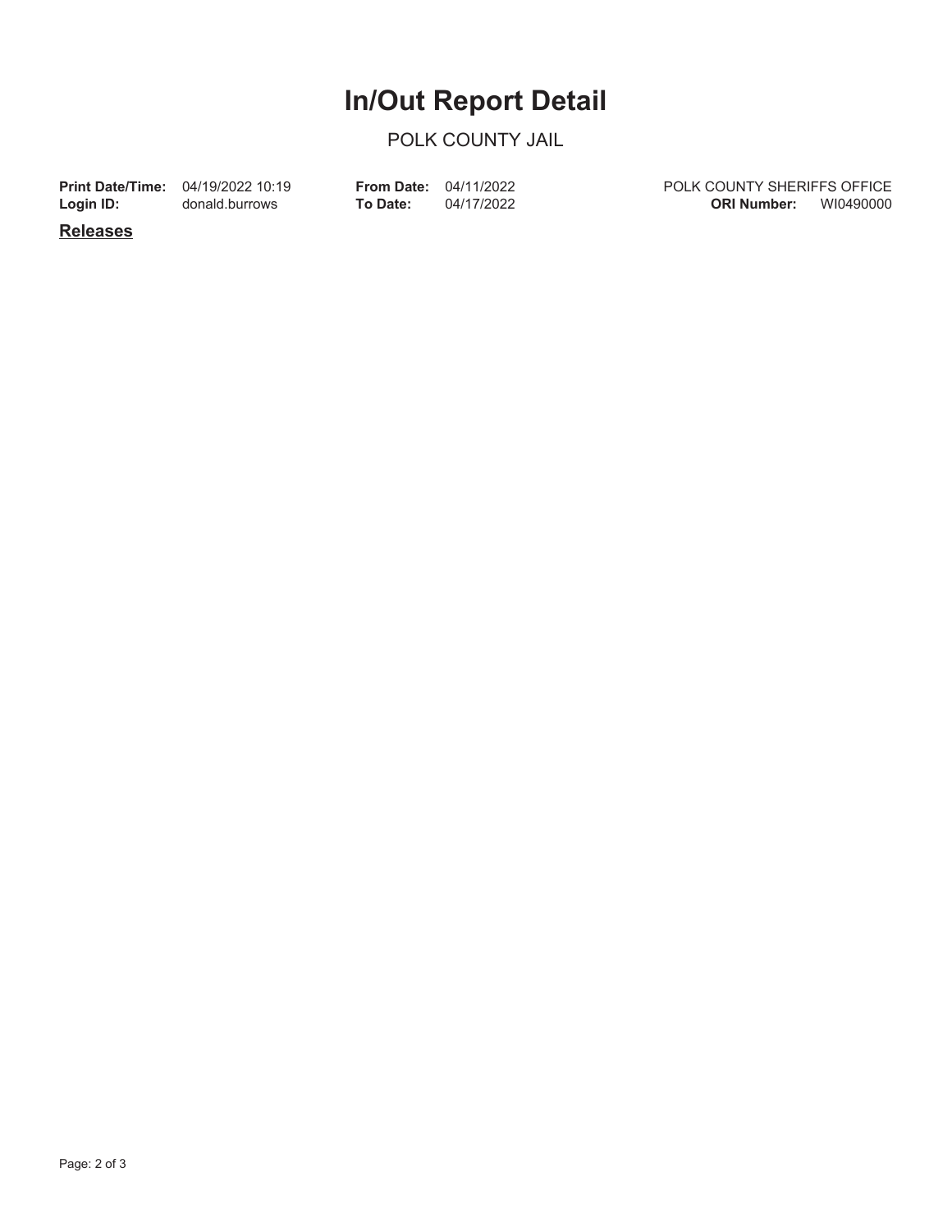### **In/Out Report Detail**

#### POLK COUNTY JAIL

**Login ID:**

**Print Date/Time:** 04/19/2022 10:19 donald.burrows

**To Date:** 04/17/2022 **From Date:** 04/11/2022 POLK COUNTY SHERIFFS OFFICE **ORI Number:** WI0490000

**Releases**